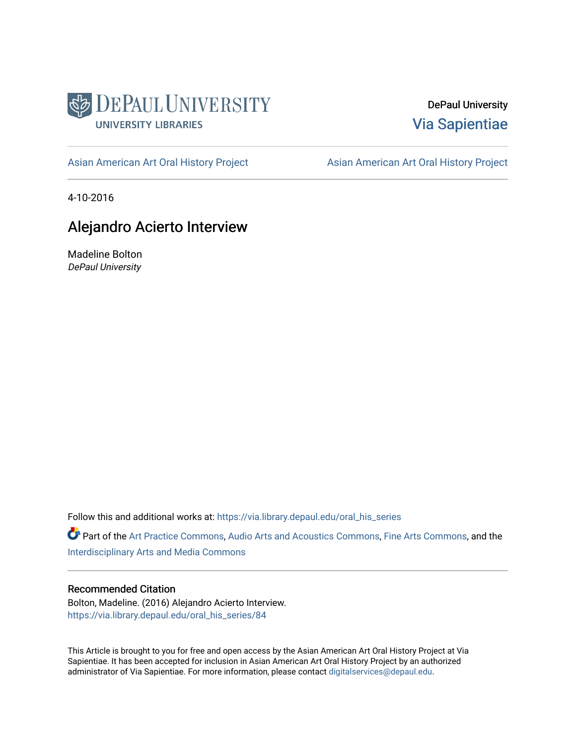

DePaul University [Via Sapientiae](https://via.library.depaul.edu/) 

[Asian American Art Oral History Project](https://via.library.depaul.edu/oral_his_series) **Asian American Art Oral History Project** 

4-10-2016

# Alejandro Acierto Interview

Madeline Bolton DePaul University

Follow this and additional works at: [https://via.library.depaul.edu/oral\\_his\\_series](https://via.library.depaul.edu/oral_his_series?utm_source=via.library.depaul.edu%2Foral_his_series%2F84&utm_medium=PDF&utm_campaign=PDFCoverPages) 

Part of the [Art Practice Commons](http://network.bepress.com/hgg/discipline/509?utm_source=via.library.depaul.edu%2Foral_his_series%2F84&utm_medium=PDF&utm_campaign=PDFCoverPages), [Audio Arts and Acoustics Commons,](http://network.bepress.com/hgg/discipline/1140?utm_source=via.library.depaul.edu%2Foral_his_series%2F84&utm_medium=PDF&utm_campaign=PDFCoverPages) [Fine Arts Commons,](http://network.bepress.com/hgg/discipline/1141?utm_source=via.library.depaul.edu%2Foral_his_series%2F84&utm_medium=PDF&utm_campaign=PDFCoverPages) and the [Interdisciplinary Arts and Media Commons](http://network.bepress.com/hgg/discipline/1137?utm_source=via.library.depaul.edu%2Foral_his_series%2F84&utm_medium=PDF&utm_campaign=PDFCoverPages)

#### Recommended Citation

Bolton, Madeline. (2016) Alejandro Acierto Interview. [https://via.library.depaul.edu/oral\\_his\\_series/84](https://via.library.depaul.edu/oral_his_series/84?utm_source=via.library.depaul.edu%2Foral_his_series%2F84&utm_medium=PDF&utm_campaign=PDFCoverPages)

This Article is brought to you for free and open access by the Asian American Art Oral History Project at Via Sapientiae. It has been accepted for inclusion in Asian American Art Oral History Project by an authorized administrator of Via Sapientiae. For more information, please contact [digitalservices@depaul.edu.](mailto:digitalservices@depaul.edu)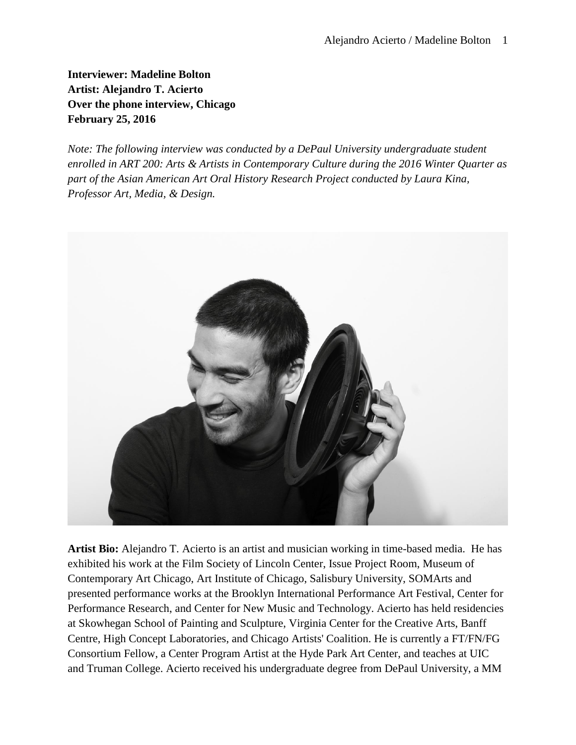**Interviewer: Madeline Bolton Artist: Alejandro T. Acierto Over the phone interview, Chicago February 25, 2016**

*Note: The following interview was conducted by a DePaul University undergraduate student enrolled in ART 200: Arts & Artists in Contemporary Culture during the 2016 Winter Quarter as part of the Asian American Art Oral History Research Project conducted by Laura Kina, Professor Art, Media, & Design.* 



**Artist Bio:** Alejandro T. Acierto is an artist and musician working in time-based media. He has exhibited his work at the Film Society of Lincoln Center, Issue Project Room, Museum of Contemporary Art Chicago, Art Institute of Chicago, Salisbury University, SOMArts and presented performance works at the Brooklyn International Performance Art Festival, Center for Performance Research, and Center for New Music and Technology. Acierto has held residencies at Skowhegan School of Painting and Sculpture, Virginia Center for the Creative Arts, Banff Centre, High Concept Laboratories, and Chicago Artists' Coalition. He is currently a FT/FN/FG Consortium Fellow, a Center Program Artist at the Hyde Park Art Center, and teaches at UIC and Truman College. Acierto received his undergraduate degree from DePaul University, a MM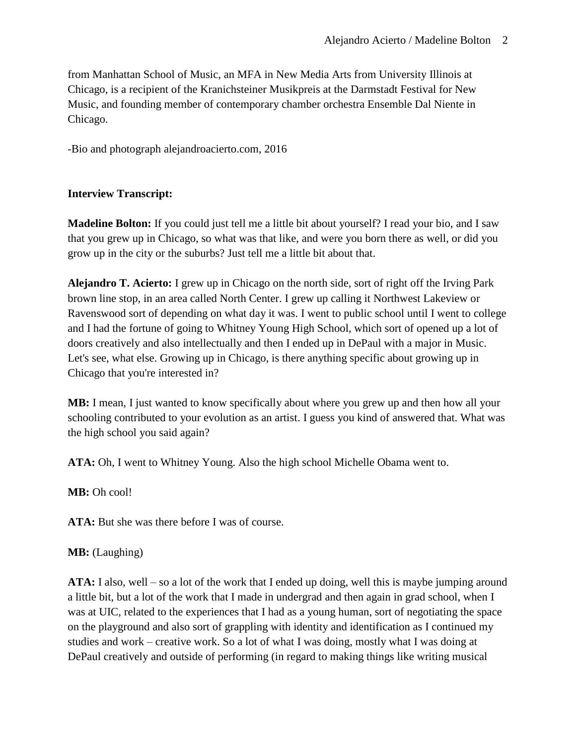from Manhattan School of Music, an MFA in New Media Arts from University Illinois at Chicago, is a recipient of the Kranichsteiner Musikpreis at the Darmstadt Festival for New Music, and founding member of contemporary chamber orchestra Ensemble Dal Niente in Chicago.

-Bio and photograph alejandroacierto.com, 2016

# **Interview Transcript:**

**Madeline Bolton:** If you could just tell me a little bit about yourself? I read your bio, and I saw that you grew up in Chicago, so what was that like, and were you born there as well, or did you grow up in the city or the suburbs? Just tell me a little bit about that.

**Alejandro T. Acierto:** I grew up in Chicago on the north side, sort of right off the Irving Park brown line stop, in an area called North Center. I grew up calling it Northwest Lakeview or Ravenswood sort of depending on what day it was. I went to public school until I went to college and I had the fortune of going to Whitney Young High School, which sort of opened up a lot of doors creatively and also intellectually and then I ended up in DePaul with a major in Music. Let's see, what else. Growing up in Chicago, is there anything specific about growing up in Chicago that you're interested in?

**MB:** I mean, I just wanted to know specifically about where you grew up and then how all your schooling contributed to your evolution as an artist. I guess you kind of answered that. What was the high school you said again?

**ATA:** Oh, I went to Whitney Young. Also the high school Michelle Obama went to.

**MB:** Oh cool!

ATA: But she was there before I was of course.

### **MB:** (Laughing)

**ATA:** I also, well – so a lot of the work that I ended up doing, well this is maybe jumping around a little bit, but a lot of the work that I made in undergrad and then again in grad school, when I was at UIC, related to the experiences that I had as a young human, sort of negotiating the space on the playground and also sort of grappling with identity and identification as I continued my studies and work – creative work. So a lot of what I was doing, mostly what I was doing at DePaul creatively and outside of performing (in regard to making things like writing musical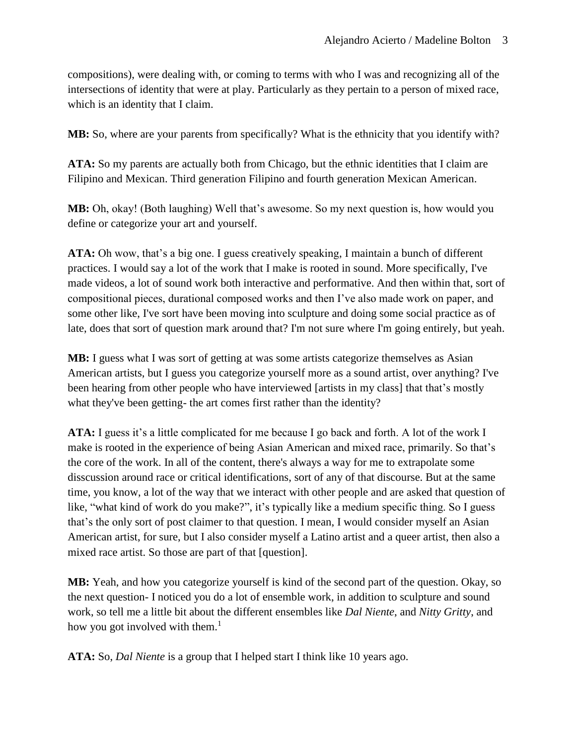compositions), were dealing with, or coming to terms with who I was and recognizing all of the intersections of identity that were at play. Particularly as they pertain to a person of mixed race, which is an identity that I claim.

**MB:** So, where are your parents from specifically? What is the ethnicity that you identify with?

**ATA:** So my parents are actually both from Chicago, but the ethnic identities that I claim are Filipino and Mexican. Third generation Filipino and fourth generation Mexican American.

**MB:** Oh, okay! (Both laughing) Well that's awesome. So my next question is, how would you define or categorize your art and yourself.

**ATA:** Oh wow, that's a big one. I guess creatively speaking, I maintain a bunch of different practices. I would say a lot of the work that I make is rooted in sound. More specifically, I've made videos, a lot of sound work both interactive and performative. And then within that, sort of compositional pieces, durational composed works and then I've also made work on paper, and some other like, I've sort have been moving into sculpture and doing some social practice as of late, does that sort of question mark around that? I'm not sure where I'm going entirely, but yeah.

**MB:** I guess what I was sort of getting at was some artists categorize themselves as Asian American artists, but I guess you categorize yourself more as a sound artist, over anything? I've been hearing from other people who have interviewed [artists in my class] that that's mostly what they've been getting- the art comes first rather than the identity?

**ATA:** I guess it's a little complicated for me because I go back and forth. A lot of the work I make is rooted in the experience of being Asian American and mixed race, primarily. So that's the core of the work. In all of the content, there's always a way for me to extrapolate some disscussion around race or critical identifications, sort of any of that discourse. But at the same time, you know, a lot of the way that we interact with other people and are asked that question of like, "what kind of work do you make?", it's typically like a medium specific thing. So I guess that's the only sort of post claimer to that question. I mean, I would consider myself an Asian American artist, for sure, but I also consider myself a Latino artist and a queer artist, then also a mixed race artist. So those are part of that [question].

**MB:** Yeah, and how you categorize yourself is kind of the second part of the question. Okay, so the next question- I noticed you do a lot of ensemble work, in addition to sculpture and sound work, so tell me a little bit about the different ensembles like *Dal Niente*, and *Nitty Gritty*, and how you got involved with them.<sup>1</sup>

**ATA:** So, *Dal Niente* is a group that I helped start I think like 10 years ago.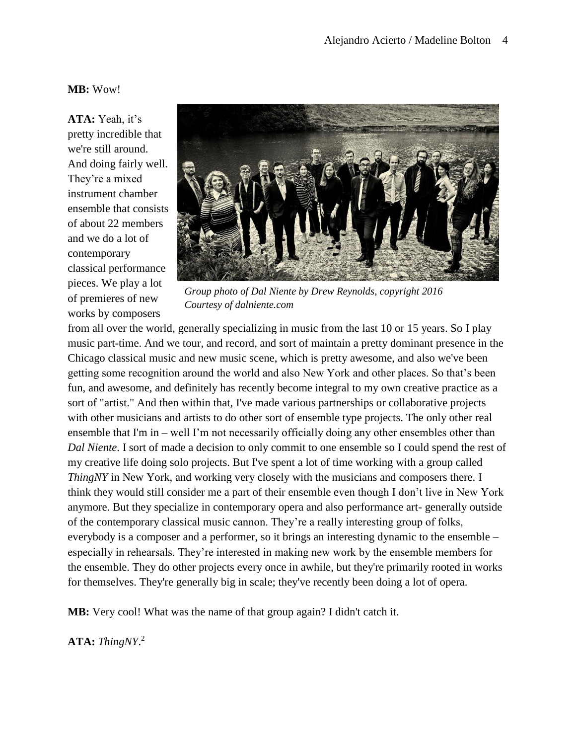### **MB:** Wow!

**ATA:** Yeah, it's pretty incredible that we're still around. And doing fairly well. They're a mixed instrument chamber ensemble that consists of about 22 members and we do a lot of contemporary classical performance pieces. We play a lot of premieres of new works by composers



*Group photo of Dal Niente by Drew Reynolds, copyright 2016 Courtesy of dalniente.com*

from all over the world, generally specializing in music from the last 10 or 15 years. So I play music part-time. And we tour, and record, and sort of maintain a pretty dominant presence in the Chicago classical music and new music scene, which is pretty awesome, and also we've been getting some recognition around the world and also New York and other places. So that's been fun, and awesome, and definitely has recently become integral to my own creative practice as a sort of "artist." And then within that, I've made various partnerships or collaborative projects with other musicians and artists to do other sort of ensemble type projects. The only other real ensemble that I'm in – well I'm not necessarily officially doing any other ensembles other than *Dal Niente*. I sort of made a decision to only commit to one ensemble so I could spend the rest of my creative life doing solo projects. But I've spent a lot of time working with a group called *ThingNY* in New York, and working very closely with the musicians and composers there. I think they would still consider me a part of their ensemble even though I don't live in New York anymore. But they specialize in contemporary opera and also performance art- generally outside of the contemporary classical music cannon. They're a really interesting group of folks, everybody is a composer and a performer, so it brings an interesting dynamic to the ensemble – especially in rehearsals. They're interested in making new work by the ensemble members for the ensemble. They do other projects every once in awhile, but they're primarily rooted in works for themselves. They're generally big in scale; they've recently been doing a lot of opera.

**MB:** Very cool! What was the name of that group again? I didn't catch it.

**ATA:** *ThingNY*. 2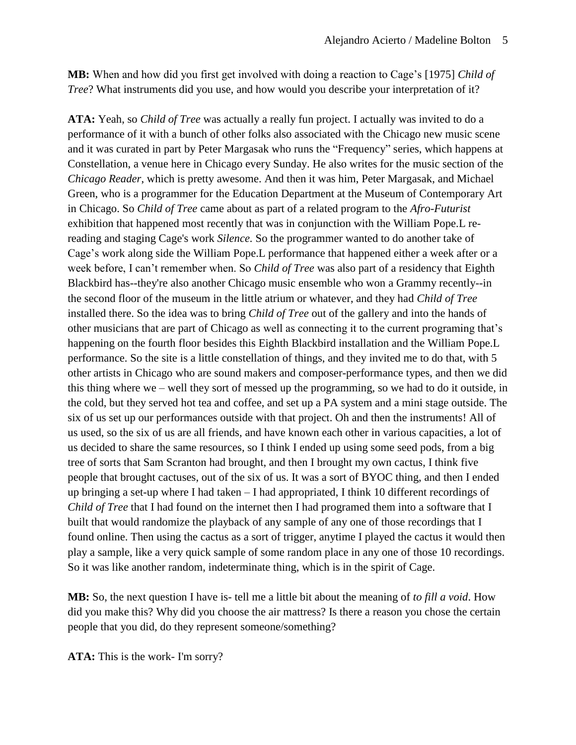**MB:** When and how did you first get involved with doing a reaction to Cage's [1975] *Child of Tree*? What instruments did you use, and how would you describe your interpretation of it?

**ATA:** Yeah, so *Child of Tree* was actually a really fun project. I actually was invited to do a performance of it with a bunch of other folks also associated with the Chicago new music scene and it was curated in part by Peter Margasak who runs the "Frequency" series, which happens at Constellation, a venue here in Chicago every Sunday. He also writes for the music section of the *Chicago Reader*, which is pretty awesome. And then it was him, Peter Margasak, and Michael Green, who is a programmer for the Education Department at the Museum of Contemporary Art in Chicago. So *Child of Tree* came about as part of a related program to the *Afro-Futurist* exhibition that happened most recently that was in conjunction with the William Pope.L rereading and staging Cage's work *Silence.* So the programmer wanted to do another take of Cage's work along side the William Pope.L performance that happened either a week after or a week before, I can't remember when. So *Child of Tree* was also part of a residency that Eighth Blackbird has--they're also another Chicago music ensemble who won a Grammy recently--in the second floor of the museum in the little atrium or whatever, and they had *Child of Tree* installed there. So the idea was to bring *Child of Tree* out of the gallery and into the hands of other musicians that are part of Chicago as well as connecting it to the current programing that's happening on the fourth floor besides this Eighth Blackbird installation and the William Pope.L performance. So the site is a little constellation of things, and they invited me to do that, with 5 other artists in Chicago who are sound makers and composer-performance types, and then we did this thing where we – well they sort of messed up the programming, so we had to do it outside, in the cold, but they served hot tea and coffee, and set up a PA system and a mini stage outside. The six of us set up our performances outside with that project. Oh and then the instruments! All of us used, so the six of us are all friends, and have known each other in various capacities, a lot of us decided to share the same resources, so I think I ended up using some seed pods, from a big tree of sorts that Sam Scranton had brought, and then I brought my own cactus, I think five people that brought cactuses, out of the six of us. It was a sort of BYOC thing, and then I ended up bringing a set-up where I had taken – I had appropriated, I think 10 different recordings of *Child of Tree* that I had found on the internet then I had programed them into a software that I built that would randomize the playback of any sample of any one of those recordings that I found online. Then using the cactus as a sort of trigger, anytime I played the cactus it would then play a sample, like a very quick sample of some random place in any one of those 10 recordings. So it was like another random, indeterminate thing, which is in the spirit of Cage.

**MB:** So, the next question I have is- tell me a little bit about the meaning of *to fill a void*. How did you make this? Why did you choose the air mattress? Is there a reason you chose the certain people that you did, do they represent someone/something?

**ATA:** This is the work- I'm sorry?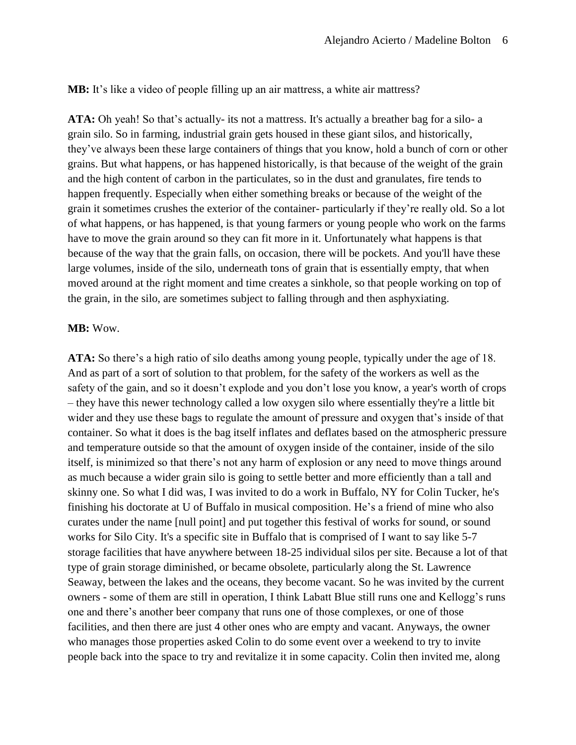**MB:** It's like a video of people filling up an air mattress, a white air mattress?

**ATA:** Oh yeah! So that's actually- its not a mattress. It's actually a breather bag for a silo- a grain silo. So in farming, industrial grain gets housed in these giant silos, and historically, they've always been these large containers of things that you know, hold a bunch of corn or other grains. But what happens, or has happened historically, is that because of the weight of the grain and the high content of carbon in the particulates, so in the dust and granulates, fire tends to happen frequently. Especially when either something breaks or because of the weight of the grain it sometimes crushes the exterior of the container- particularly if they're really old. So a lot of what happens, or has happened, is that young farmers or young people who work on the farms have to move the grain around so they can fit more in it. Unfortunately what happens is that because of the way that the grain falls, on occasion, there will be pockets. And you'll have these large volumes, inside of the silo, underneath tons of grain that is essentially empty, that when moved around at the right moment and time creates a sinkhole, so that people working on top of the grain, in the silo, are sometimes subject to falling through and then asphyxiating.

#### **MB:** Wow.

**ATA:** So there's a high ratio of silo deaths among young people, typically under the age of 18. And as part of a sort of solution to that problem, for the safety of the workers as well as the safety of the gain, and so it doesn't explode and you don't lose you know, a year's worth of crops – they have this newer technology called a low oxygen silo where essentially they're a little bit wider and they use these bags to regulate the amount of pressure and oxygen that's inside of that container. So what it does is the bag itself inflates and deflates based on the atmospheric pressure and temperature outside so that the amount of oxygen inside of the container, inside of the silo itself, is minimized so that there's not any harm of explosion or any need to move things around as much because a wider grain silo is going to settle better and more efficiently than a tall and skinny one. So what I did was, I was invited to do a work in Buffalo, NY for Colin Tucker, he's finishing his doctorate at U of Buffalo in musical composition. He's a friend of mine who also curates under the name [null point] and put together this festival of works for sound, or sound works for Silo City. It's a specific site in Buffalo that is comprised of I want to say like 5-7 storage facilities that have anywhere between 18-25 individual silos per site. Because a lot of that type of grain storage diminished, or became obsolete, particularly along the St. Lawrence Seaway, between the lakes and the oceans, they become vacant. So he was invited by the current owners - some of them are still in operation, I think Labatt Blue still runs one and Kellogg's runs one and there's another beer company that runs one of those complexes, or one of those facilities, and then there are just 4 other ones who are empty and vacant. Anyways, the owner who manages those properties asked Colin to do some event over a weekend to try to invite people back into the space to try and revitalize it in some capacity. Colin then invited me, along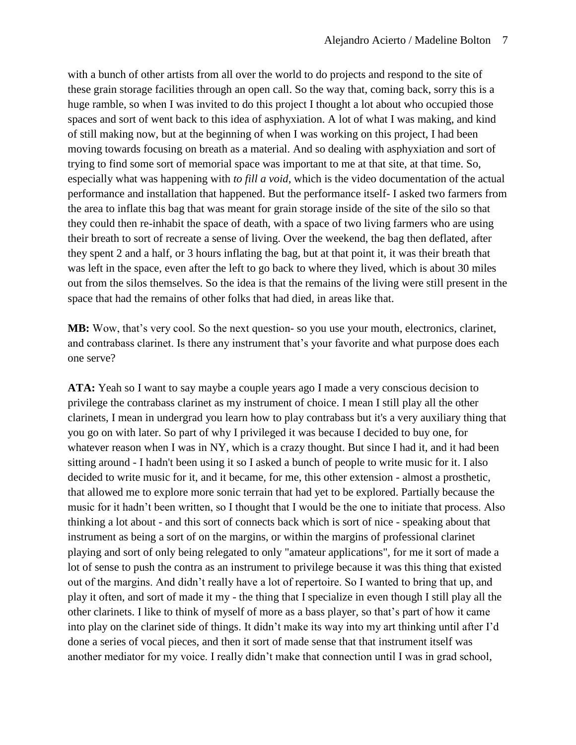with a bunch of other artists from all over the world to do projects and respond to the site of these grain storage facilities through an open call. So the way that, coming back, sorry this is a huge ramble, so when I was invited to do this project I thought a lot about who occupied those spaces and sort of went back to this idea of asphyxiation. A lot of what I was making, and kind of still making now, but at the beginning of when I was working on this project, I had been moving towards focusing on breath as a material. And so dealing with asphyxiation and sort of trying to find some sort of memorial space was important to me at that site, at that time. So, especially what was happening with *to fill a void*, which is the video documentation of the actual performance and installation that happened. But the performance itself- I asked two farmers from the area to inflate this bag that was meant for grain storage inside of the site of the silo so that they could then re-inhabit the space of death, with a space of two living farmers who are using their breath to sort of recreate a sense of living. Over the weekend, the bag then deflated, after they spent 2 and a half, or 3 hours inflating the bag, but at that point it, it was their breath that was left in the space, even after the left to go back to where they lived, which is about 30 miles out from the silos themselves. So the idea is that the remains of the living were still present in the space that had the remains of other folks that had died, in areas like that.

**MB:** Wow, that's very cool. So the next question- so you use your mouth, electronics, clarinet, and contrabass clarinet. Is there any instrument that's your favorite and what purpose does each one serve?

**ATA:** Yeah so I want to say maybe a couple years ago I made a very conscious decision to privilege the contrabass clarinet as my instrument of choice. I mean I still play all the other clarinets, I mean in undergrad you learn how to play contrabass but it's a very auxiliary thing that you go on with later. So part of why I privileged it was because I decided to buy one, for whatever reason when I was in NY, which is a crazy thought. But since I had it, and it had been sitting around - I hadn't been using it so I asked a bunch of people to write music for it. I also decided to write music for it, and it became, for me, this other extension - almost a prosthetic, that allowed me to explore more sonic terrain that had yet to be explored. Partially because the music for it hadn't been written, so I thought that I would be the one to initiate that process. Also thinking a lot about - and this sort of connects back which is sort of nice - speaking about that instrument as being a sort of on the margins, or within the margins of professional clarinet playing and sort of only being relegated to only "amateur applications", for me it sort of made a lot of sense to push the contra as an instrument to privilege because it was this thing that existed out of the margins. And didn't really have a lot of repertoire. So I wanted to bring that up, and play it often, and sort of made it my - the thing that I specialize in even though I still play all the other clarinets. I like to think of myself of more as a bass player, so that's part of how it came into play on the clarinet side of things. It didn't make its way into my art thinking until after I'd done a series of vocal pieces, and then it sort of made sense that that instrument itself was another mediator for my voice. I really didn't make that connection until I was in grad school,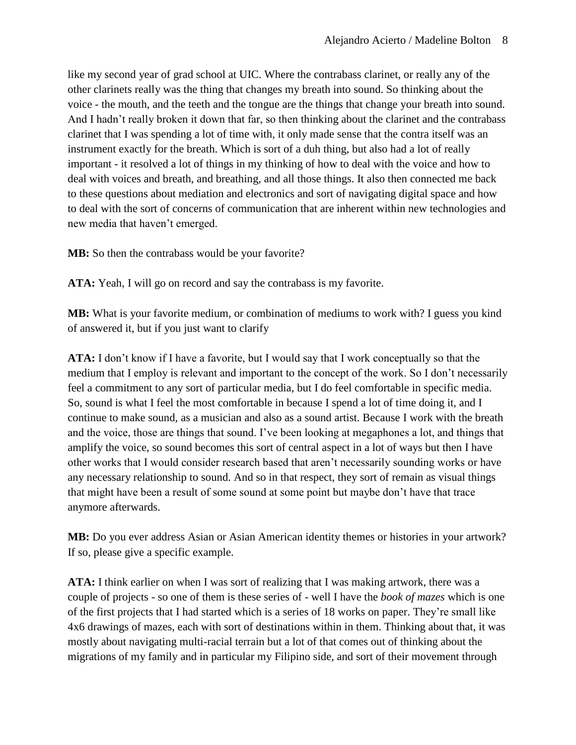like my second year of grad school at UIC. Where the contrabass clarinet, or really any of the other clarinets really was the thing that changes my breath into sound. So thinking about the voice - the mouth, and the teeth and the tongue are the things that change your breath into sound. And I hadn't really broken it down that far, so then thinking about the clarinet and the contrabass clarinet that I was spending a lot of time with, it only made sense that the contra itself was an instrument exactly for the breath. Which is sort of a duh thing, but also had a lot of really important - it resolved a lot of things in my thinking of how to deal with the voice and how to deal with voices and breath, and breathing, and all those things. It also then connected me back to these questions about mediation and electronics and sort of navigating digital space and how to deal with the sort of concerns of communication that are inherent within new technologies and new media that haven't emerged.

**MB:** So then the contrabass would be your favorite?

**ATA:** Yeah, I will go on record and say the contrabass is my favorite.

**MB:** What is your favorite medium, or combination of mediums to work with? I guess you kind of answered it, but if you just want to clarify

**ATA:** I don't know if I have a favorite, but I would say that I work conceptually so that the medium that I employ is relevant and important to the concept of the work. So I don't necessarily feel a commitment to any sort of particular media, but I do feel comfortable in specific media. So, sound is what I feel the most comfortable in because I spend a lot of time doing it, and I continue to make sound, as a musician and also as a sound artist. Because I work with the breath and the voice, those are things that sound. I've been looking at megaphones a lot, and things that amplify the voice, so sound becomes this sort of central aspect in a lot of ways but then I have other works that I would consider research based that aren't necessarily sounding works or have any necessary relationship to sound. And so in that respect, they sort of remain as visual things that might have been a result of some sound at some point but maybe don't have that trace anymore afterwards.

**MB:** Do you ever address Asian or Asian American identity themes or histories in your artwork? If so, please give a specific example.

**ATA:** I think earlier on when I was sort of realizing that I was making artwork, there was a couple of projects - so one of them is these series of - well I have the *book of mazes* which is one of the first projects that I had started which is a series of 18 works on paper. They're small like 4x6 drawings of mazes, each with sort of destinations within in them. Thinking about that, it was mostly about navigating multi-racial terrain but a lot of that comes out of thinking about the migrations of my family and in particular my Filipino side, and sort of their movement through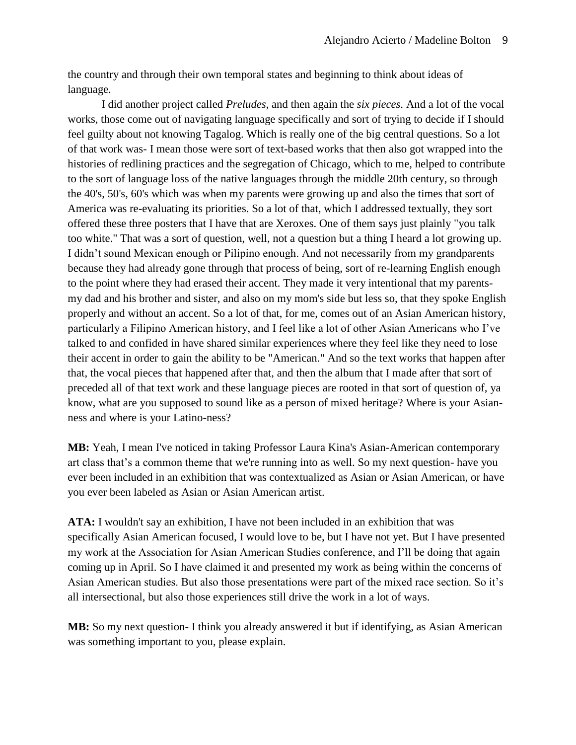the country and through their own temporal states and beginning to think about ideas of language.

I did another project called *Preludes*, and then again the *six pieces*. And a lot of the vocal works, those come out of navigating language specifically and sort of trying to decide if I should feel guilty about not knowing Tagalog. Which is really one of the big central questions. So a lot of that work was- I mean those were sort of text-based works that then also got wrapped into the histories of redlining practices and the segregation of Chicago, which to me, helped to contribute to the sort of language loss of the native languages through the middle 20th century, so through the 40's, 50's, 60's which was when my parents were growing up and also the times that sort of America was re-evaluating its priorities. So a lot of that, which I addressed textually, they sort offered these three posters that I have that are Xeroxes. One of them says just plainly "you talk too white." That was a sort of question, well, not a question but a thing I heard a lot growing up. I didn't sound Mexican enough or Pilipino enough. And not necessarily from my grandparents because they had already gone through that process of being, sort of re-learning English enough to the point where they had erased their accent. They made it very intentional that my parentsmy dad and his brother and sister, and also on my mom's side but less so, that they spoke English properly and without an accent. So a lot of that, for me, comes out of an Asian American history, particularly a Filipino American history, and I feel like a lot of other Asian Americans who I've talked to and confided in have shared similar experiences where they feel like they need to lose their accent in order to gain the ability to be "American." And so the text works that happen after that, the vocal pieces that happened after that, and then the album that I made after that sort of preceded all of that text work and these language pieces are rooted in that sort of question of, ya know, what are you supposed to sound like as a person of mixed heritage? Where is your Asianness and where is your Latino-ness?

**MB:** Yeah, I mean I've noticed in taking Professor Laura Kina's Asian-American contemporary art class that's a common theme that we're running into as well. So my next question- have you ever been included in an exhibition that was contextualized as Asian or Asian American, or have you ever been labeled as Asian or Asian American artist.

**ATA:** I wouldn't say an exhibition, I have not been included in an exhibition that was specifically Asian American focused, I would love to be, but I have not yet. But I have presented my work at the Association for Asian American Studies conference, and I'll be doing that again coming up in April. So I have claimed it and presented my work as being within the concerns of Asian American studies. But also those presentations were part of the mixed race section. So it's all intersectional, but also those experiences still drive the work in a lot of ways.

**MB:** So my next question- I think you already answered it but if identifying, as Asian American was something important to you, please explain.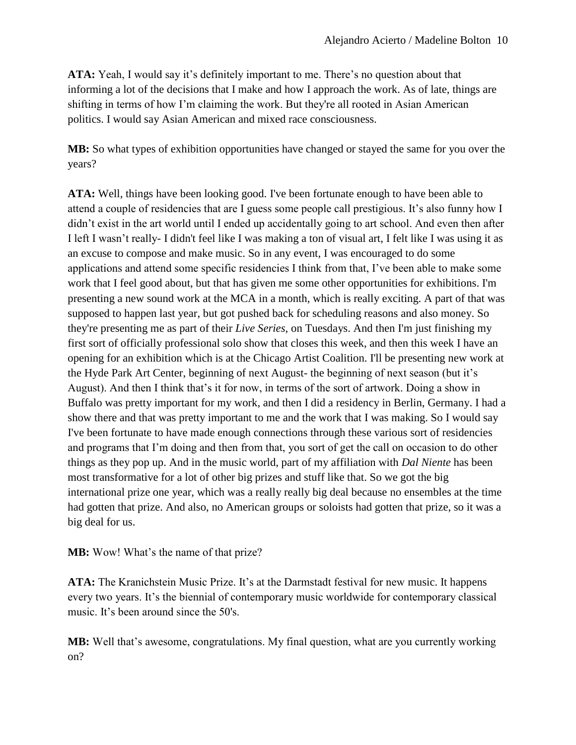**ATA:** Yeah, I would say it's definitely important to me. There's no question about that informing a lot of the decisions that I make and how I approach the work. As of late, things are shifting in terms of how I'm claiming the work. But they're all rooted in Asian American politics. I would say Asian American and mixed race consciousness.

**MB:** So what types of exhibition opportunities have changed or stayed the same for you over the years?

**ATA:** Well, things have been looking good. I've been fortunate enough to have been able to attend a couple of residencies that are I guess some people call prestigious. It's also funny how I didn't exist in the art world until I ended up accidentally going to art school. And even then after I left I wasn't really- I didn't feel like I was making a ton of visual art, I felt like I was using it as an excuse to compose and make music. So in any event, I was encouraged to do some applications and attend some specific residencies I think from that, I've been able to make some work that I feel good about, but that has given me some other opportunities for exhibitions. I'm presenting a new sound work at the MCA in a month, which is really exciting. A part of that was supposed to happen last year, but got pushed back for scheduling reasons and also money. So they're presenting me as part of their *Live Series*, on Tuesdays. And then I'm just finishing my first sort of officially professional solo show that closes this week, and then this week I have an opening for an exhibition which is at the Chicago Artist Coalition. I'll be presenting new work at the Hyde Park Art Center, beginning of next August- the beginning of next season (but it's August). And then I think that's it for now, in terms of the sort of artwork. Doing a show in Buffalo was pretty important for my work, and then I did a residency in Berlin, Germany. I had a show there and that was pretty important to me and the work that I was making. So I would say I've been fortunate to have made enough connections through these various sort of residencies and programs that I'm doing and then from that, you sort of get the call on occasion to do other things as they pop up. And in the music world, part of my affiliation with *Dal Niente* has been most transformative for a lot of other big prizes and stuff like that. So we got the big international prize one year, which was a really really big deal because no ensembles at the time had gotten that prize. And also, no American groups or soloists had gotten that prize, so it was a big deal for us.

**MB:** Wow! What's the name of that prize?

**ATA:** The Kranichstein Music Prize. It's at the Darmstadt festival for new music. It happens every two years. It's the biennial of contemporary music worldwide for contemporary classical music. It's been around since the 50's.

**MB:** Well that's awesome, congratulations. My final question, what are you currently working on?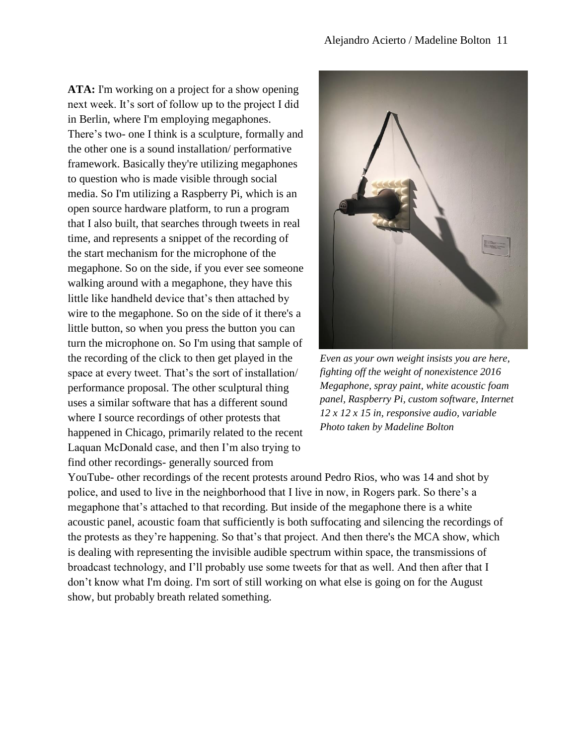**ATA:** I'm working on a project for a show opening next week. It's sort of follow up to the project I did in Berlin, where I'm employing megaphones. There's two- one I think is a sculpture, formally and the other one is a sound installation/ performative framework. Basically they're utilizing megaphones to question who is made visible through social media. So I'm utilizing a Raspberry Pi, which is an open source hardware platform, to run a program that I also built, that searches through tweets in real time, and represents a snippet of the recording of the start mechanism for the microphone of the megaphone. So on the side, if you ever see someone walking around with a megaphone, they have this little like handheld device that's then attached by wire to the megaphone. So on the side of it there's a little button, so when you press the button you can turn the microphone on. So I'm using that sample of the recording of the click to then get played in the space at every tweet. That's the sort of installation/ performance proposal. The other sculptural thing uses a similar software that has a different sound where I source recordings of other protests that happened in Chicago, primarily related to the recent Laquan McDonald case, and then I'm also trying to find other recordings- generally sourced from



*Even as your own weight insists you are here, fighting off the weight of nonexistence 2016 Megaphone, spray paint, white acoustic foam panel, Raspberry Pi, custom software, Internet 12 x 12 x 15 in, responsive audio, variable Photo taken by Madeline Bolton*

YouTube- other recordings of the recent protests around Pedro Rios, who was 14 and shot by police, and used to live in the neighborhood that I live in now, in Rogers park. So there's a megaphone that's attached to that recording. But inside of the megaphone there is a white acoustic panel, acoustic foam that sufficiently is both suffocating and silencing the recordings of the protests as they're happening. So that's that project. And then there's the MCA show, which is dealing with representing the invisible audible spectrum within space, the transmissions of broadcast technology, and I'll probably use some tweets for that as well. And then after that I don't know what I'm doing. I'm sort of still working on what else is going on for the August show, but probably breath related something.